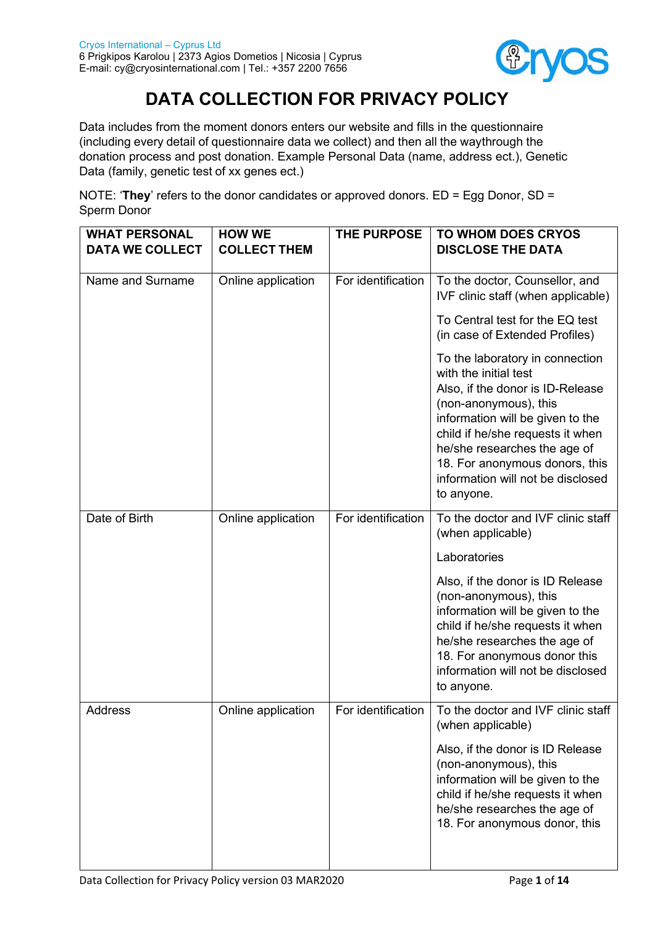

# **DATA COLLECTION FOR PRIVACY POLICY**

Data includes from the moment donors enters our website and fills in the questionnaire (including every detail of questionnaire data we collect) and then all the waythrough the donation process and post donation. Example Personal Data (name, address ect.), Genetic Data (family, genetic test of xx genes ect.)

NOTE: '**They**' refers to the donor candidates or approved donors. ED = Egg Donor, SD = Sperm Donor

| <b>WHAT PERSONAL</b>   | <b>HOW WE</b>       | THE PURPOSE        | <b>TO WHOM DOES CRYOS</b>                                                                                                                                                                                                                                                                                          |
|------------------------|---------------------|--------------------|--------------------------------------------------------------------------------------------------------------------------------------------------------------------------------------------------------------------------------------------------------------------------------------------------------------------|
| <b>DATA WE COLLECT</b> | <b>COLLECT THEM</b> |                    | <b>DISCLOSE THE DATA</b>                                                                                                                                                                                                                                                                                           |
| Name and Surname       | Online application  | For identification | To the doctor, Counsellor, and<br>IVF clinic staff (when applicable)                                                                                                                                                                                                                                               |
|                        |                     |                    | To Central test for the EQ test<br>(in case of Extended Profiles)                                                                                                                                                                                                                                                  |
|                        |                     |                    | To the laboratory in connection<br>with the initial test<br>Also, if the donor is ID-Release<br>(non-anonymous), this<br>information will be given to the<br>child if he/she requests it when<br>he/she researches the age of<br>18. For anonymous donors, this<br>information will not be disclosed<br>to anyone. |
| Date of Birth          | Online application  | For identification | To the doctor and IVF clinic staff<br>(when applicable)                                                                                                                                                                                                                                                            |
|                        |                     |                    | Laboratories                                                                                                                                                                                                                                                                                                       |
|                        |                     |                    | Also, if the donor is ID Release<br>(non-anonymous), this<br>information will be given to the<br>child if he/she requests it when<br>he/she researches the age of<br>18. For anonymous donor this<br>information will not be disclosed<br>to anyone.                                                               |
| <b>Address</b>         | Online application  | For identification | To the doctor and IVF clinic staff<br>(when applicable)                                                                                                                                                                                                                                                            |
|                        |                     |                    | Also, if the donor is ID Release<br>(non-anonymous), this<br>information will be given to the<br>child if he/she requests it when<br>he/she researches the age of<br>18. For anonymous donor, this                                                                                                                 |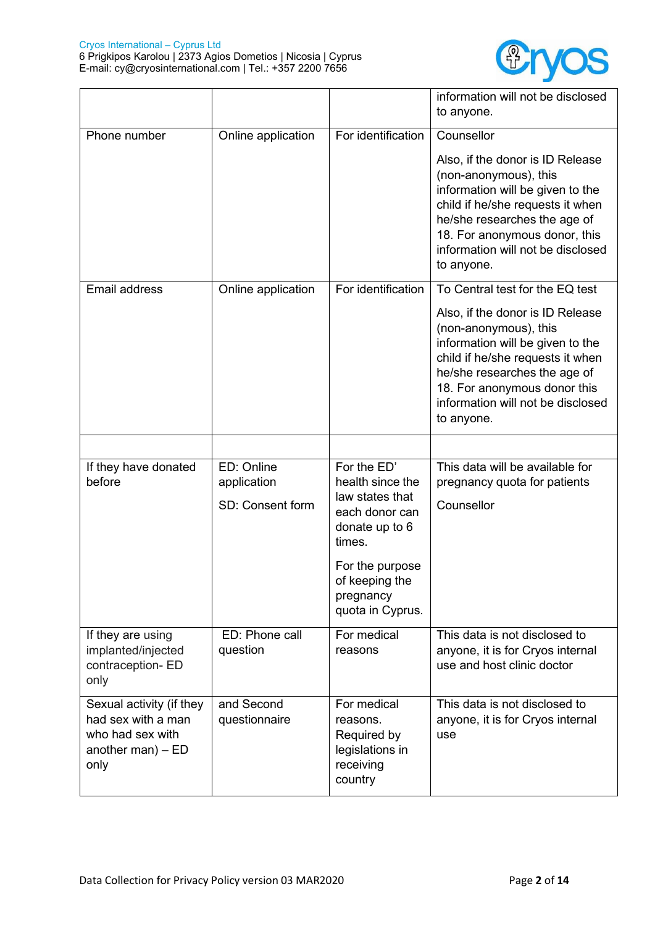

|                                                                                                   |                                               |                                                                                                                                                                        | information will not be disclosed<br>to anyone.                                                                                                                                                                                                                                         |
|---------------------------------------------------------------------------------------------------|-----------------------------------------------|------------------------------------------------------------------------------------------------------------------------------------------------------------------------|-----------------------------------------------------------------------------------------------------------------------------------------------------------------------------------------------------------------------------------------------------------------------------------------|
| Phone number                                                                                      | Online application                            | For identification                                                                                                                                                     | Counsellor<br>Also, if the donor is ID Release<br>(non-anonymous), this<br>information will be given to the<br>child if he/she requests it when<br>he/she researches the age of<br>18. For anonymous donor, this<br>information will not be disclosed<br>to anyone.                     |
| Email address                                                                                     | Online application                            | For identification                                                                                                                                                     | To Central test for the EQ test<br>Also, if the donor is ID Release<br>(non-anonymous), this<br>information will be given to the<br>child if he/she requests it when<br>he/she researches the age of<br>18. For anonymous donor this<br>information will not be disclosed<br>to anyone. |
|                                                                                                   |                                               |                                                                                                                                                                        |                                                                                                                                                                                                                                                                                         |
| If they have donated<br>before                                                                    | ED: Online<br>application<br>SD: Consent form | For the ED'<br>health since the<br>law states that<br>each donor can<br>donate up to 6<br>times.<br>For the purpose<br>of keeping the<br>pregnancy<br>quota in Cyprus. | This data will be available for<br>pregnancy quota for patients<br>Counsellor                                                                                                                                                                                                           |
| If they are using<br>implanted/injected<br>contraception- ED<br>only                              | ED: Phone call<br>question                    | For medical<br>reasons                                                                                                                                                 | This data is not disclosed to<br>anyone, it is for Cryos internal<br>use and host clinic doctor                                                                                                                                                                                         |
| Sexual activity (if they<br>had sex with a man<br>who had sex with<br>another man) $-$ ED<br>only | and Second<br>questionnaire                   | For medical<br>reasons.<br>Required by<br>legislations in<br>receiving<br>country                                                                                      | This data is not disclosed to<br>anyone, it is for Cryos internal<br>use                                                                                                                                                                                                                |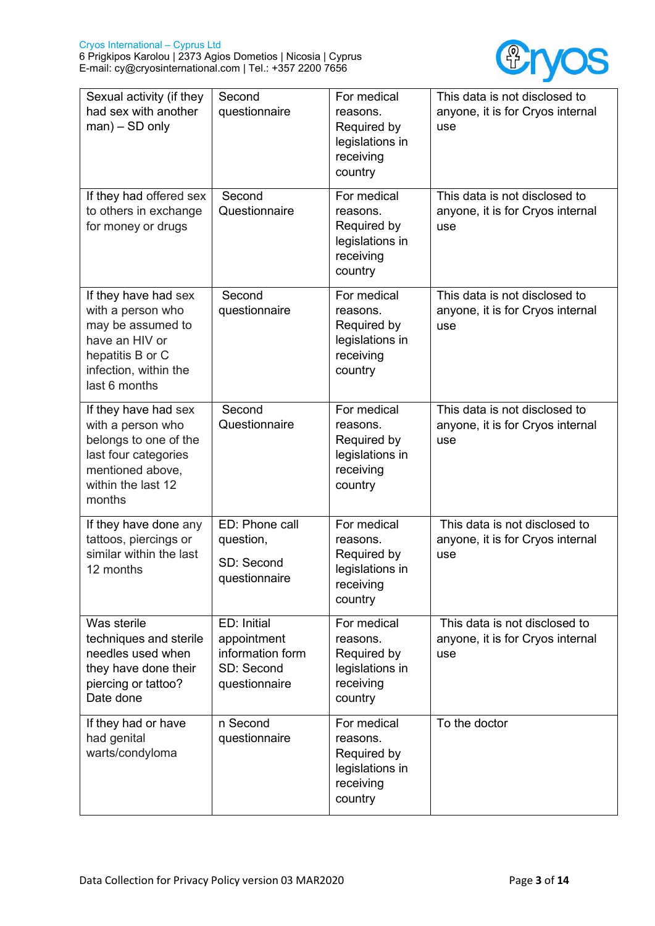

| Sexual activity (if they<br>had sex with another<br>$man$ ) – SD only                                                                          | Second<br>questionnaire                                                       | For medical<br>reasons.<br>Required by<br>legislations in<br>receiving<br>country | This data is not disclosed to<br>anyone, it is for Cryos internal<br>use |
|------------------------------------------------------------------------------------------------------------------------------------------------|-------------------------------------------------------------------------------|-----------------------------------------------------------------------------------|--------------------------------------------------------------------------|
| If they had offered sex<br>to others in exchange<br>for money or drugs                                                                         | Second<br>Questionnaire                                                       | For medical<br>reasons.<br>Required by<br>legislations in<br>receiving<br>country | This data is not disclosed to<br>anyone, it is for Cryos internal<br>use |
| If they have had sex<br>with a person who<br>may be assumed to<br>have an HIV or<br>hepatitis B or C<br>infection, within the<br>last 6 months | Second<br>questionnaire                                                       | For medical<br>reasons.<br>Required by<br>legislations in<br>receiving<br>country | This data is not disclosed to<br>anyone, it is for Cryos internal<br>use |
| If they have had sex<br>with a person who<br>belongs to one of the<br>last four categories<br>mentioned above,<br>within the last 12<br>months | Second<br>Questionnaire                                                       | For medical<br>reasons.<br>Required by<br>legislations in<br>receiving<br>country | This data is not disclosed to<br>anyone, it is for Cryos internal<br>use |
| If they have done any<br>tattoos, piercings or<br>similar within the last<br>12 months                                                         | ED: Phone call<br>question,<br>SD: Second<br>questionnaire                    | For medical<br>reasons.<br>Required by<br>legislations in<br>receiving<br>country | This data is not disclosed to<br>anyone, it is for Cryos internal<br>use |
| Was sterile<br>techniques and sterile<br>needles used when<br>they have done their<br>piercing or tattoo?<br>Date done                         | ED: Initial<br>appointment<br>information form<br>SD: Second<br>questionnaire | For medical<br>reasons.<br>Required by<br>legislations in<br>receiving<br>country | This data is not disclosed to<br>anyone, it is for Cryos internal<br>use |
| If they had or have<br>had genital<br>warts/condyloma                                                                                          | n Second<br>questionnaire                                                     | For medical<br>reasons.<br>Required by<br>legislations in<br>receiving<br>country | To the doctor                                                            |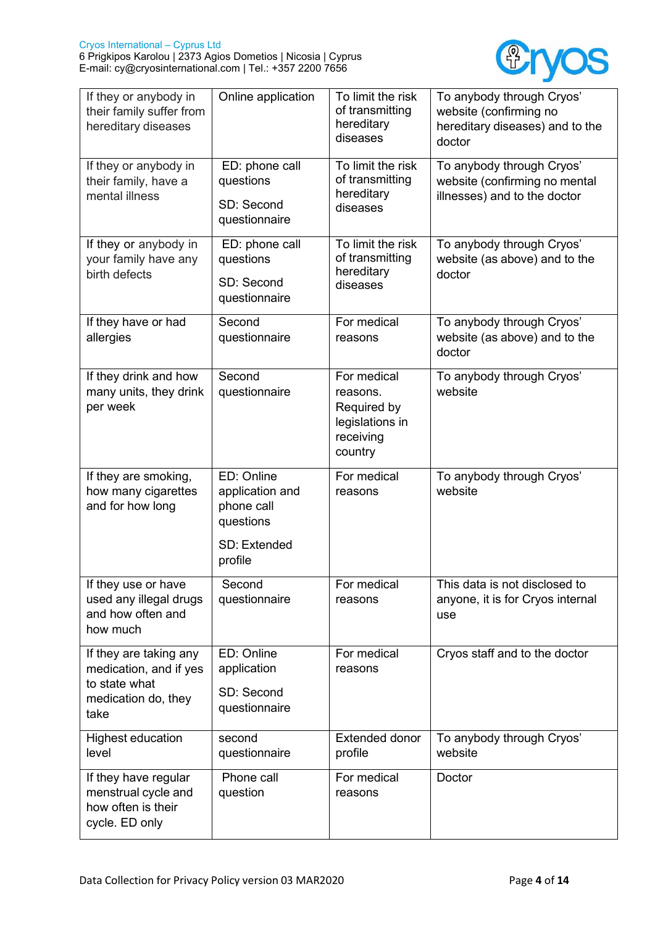

| If they or anybody in<br>their family suffer from<br>hereditary diseases                         | Online application                                                                  | To limit the risk<br>of transmitting<br>hereditary<br>diseases                    | To anybody through Cryos'<br>website (confirming no<br>hereditary diseases) and to the<br>doctor |
|--------------------------------------------------------------------------------------------------|-------------------------------------------------------------------------------------|-----------------------------------------------------------------------------------|--------------------------------------------------------------------------------------------------|
| If they or anybody in<br>their family, have a<br>mental illness                                  | ED: phone call<br>questions<br>SD: Second<br>questionnaire                          | To limit the risk<br>of transmitting<br>hereditary<br>diseases                    | To anybody through Cryos'<br>website (confirming no mental<br>illnesses) and to the doctor       |
| If they or anybody in<br>your family have any<br>birth defects                                   | ED: phone call<br>questions<br>SD: Second<br>questionnaire                          | To limit the risk<br>of transmitting<br>hereditary<br>diseases                    | To anybody through Cryos'<br>website (as above) and to the<br>doctor                             |
| If they have or had<br>allergies                                                                 | Second<br>questionnaire                                                             | For medical<br>reasons                                                            | To anybody through Cryos'<br>website (as above) and to the<br>doctor                             |
| If they drink and how<br>many units, they drink<br>per week                                      | Second<br>questionnaire                                                             | For medical<br>reasons.<br>Required by<br>legislations in<br>receiving<br>country | To anybody through Cryos'<br>website                                                             |
| If they are smoking,<br>how many cigarettes<br>and for how long                                  | ED: Online<br>application and<br>phone call<br>questions<br>SD: Extended<br>profile | For medical<br>reasons                                                            | To anybody through Cryos'<br>website                                                             |
| If they use or have<br>used any illegal drugs<br>and how often and<br>how much                   | Second<br>questionnaire                                                             | For medical<br>reasons                                                            | This data is not disclosed to<br>anyone, it is for Cryos internal<br>use                         |
| If they are taking any<br>medication, and if yes<br>to state what<br>medication do, they<br>take | ED: Online<br>application<br>SD: Second<br>questionnaire                            | For medical<br>reasons                                                            | Cryos staff and to the doctor                                                                    |
| <b>Highest education</b><br>level                                                                | second<br>questionnaire                                                             | <b>Extended donor</b><br>profile                                                  | To anybody through Cryos'<br>website                                                             |
| If they have regular<br>menstrual cycle and<br>how often is their<br>cycle. ED only              | Phone call<br>question                                                              | For medical<br>reasons                                                            | Doctor                                                                                           |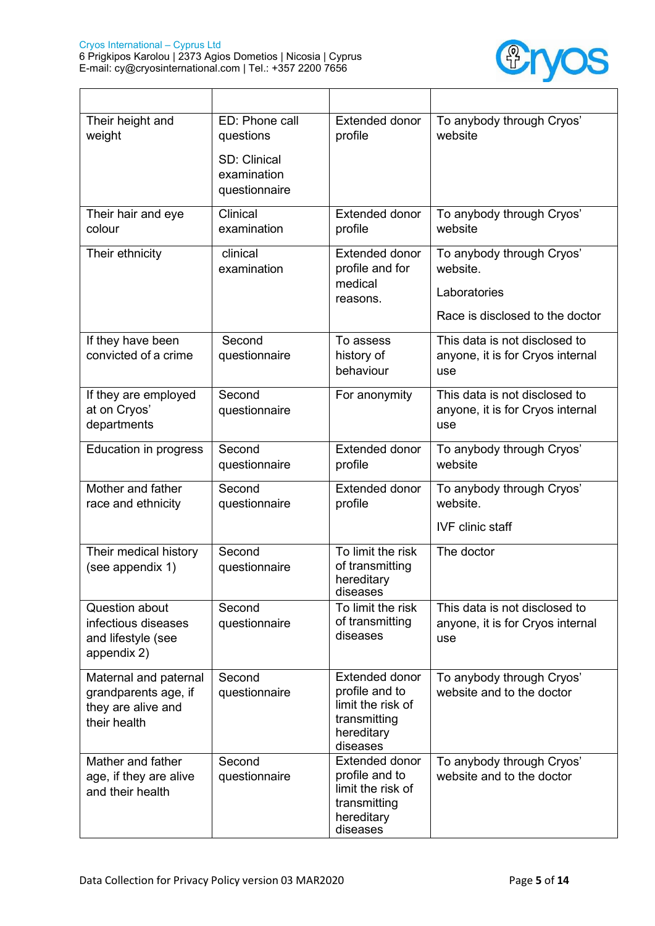$\mathsf{r}$ 



| Their height and<br>weight                                                          | ED: Phone call<br>questions<br>SD: Clinical<br>examination<br>questionnaire | <b>Extended donor</b><br>profile                                                                       | To anybody through Cryos'<br>website                                                     |
|-------------------------------------------------------------------------------------|-----------------------------------------------------------------------------|--------------------------------------------------------------------------------------------------------|------------------------------------------------------------------------------------------|
| Their hair and eye<br>colour                                                        | Clinical<br>examination                                                     | <b>Extended donor</b><br>profile                                                                       | To anybody through Cryos'<br>website                                                     |
| Their ethnicity                                                                     | clinical<br>examination                                                     | <b>Extended donor</b><br>profile and for<br>medical<br>reasons.                                        | To anybody through Cryos'<br>website.<br>Laboratories<br>Race is disclosed to the doctor |
| If they have been<br>convicted of a crime                                           | Second<br>questionnaire                                                     | To assess<br>history of<br>behaviour                                                                   | This data is not disclosed to<br>anyone, it is for Cryos internal<br>use                 |
| If they are employed<br>at on Cryos'<br>departments                                 | Second<br>questionnaire                                                     | For anonymity                                                                                          | This data is not disclosed to<br>anyone, it is for Cryos internal<br>use                 |
| <b>Education in progress</b>                                                        | Second<br>questionnaire                                                     | <b>Extended donor</b><br>profile                                                                       | To anybody through Cryos'<br>website                                                     |
| Mother and father<br>race and ethnicity                                             | Second<br>questionnaire                                                     | <b>Extended donor</b><br>profile                                                                       | To anybody through Cryos'<br>website.<br><b>IVF</b> clinic staff                         |
| Their medical history<br>(see appendix 1)                                           | Second<br>questionnaire                                                     | To limit the risk<br>of transmitting<br>hereditary<br>diseases                                         | The doctor                                                                               |
| Question about<br>infectious diseases<br>and lifestyle (see<br>appendix 2)          | Second<br>questionnaire                                                     | To limit the risk<br>of transmitting<br>diseases                                                       | This data is not disclosed to<br>anyone, it is for Cryos internal<br>use                 |
| Maternal and paternal<br>grandparents age, if<br>they are alive and<br>their health | Second<br>questionnaire                                                     | <b>Extended donor</b><br>profile and to<br>limit the risk of<br>transmitting<br>hereditary<br>diseases | To anybody through Cryos'<br>website and to the doctor                                   |
| Mather and father<br>age, if they are alive<br>and their health                     | Second<br>questionnaire                                                     | <b>Extended donor</b><br>profile and to<br>limit the risk of<br>transmitting<br>hereditary<br>diseases | To anybody through Cryos'<br>website and to the doctor                                   |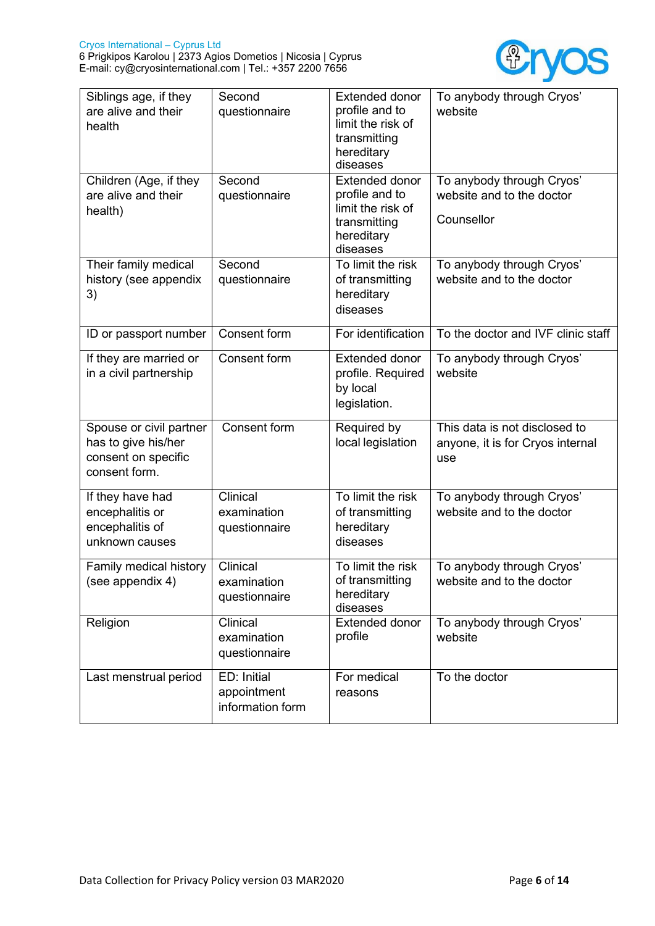

| Siblings age, if they<br>are alive and their<br>health                                 | Second<br>questionnaire                        | <b>Extended donor</b><br>profile and to<br>limit the risk of<br>transmitting<br>hereditary<br>diseases | To anybody through Cryos'<br>website                                     |
|----------------------------------------------------------------------------------------|------------------------------------------------|--------------------------------------------------------------------------------------------------------|--------------------------------------------------------------------------|
| Children (Age, if they<br>are alive and their<br>health)                               | Second<br>questionnaire                        | <b>Extended donor</b><br>profile and to<br>limit the risk of<br>transmitting<br>hereditary<br>diseases | To anybody through Cryos'<br>website and to the doctor<br>Counsellor     |
| Their family medical<br>history (see appendix<br>3)                                    | Second<br>questionnaire                        | To limit the risk<br>of transmitting<br>hereditary<br>diseases                                         | To anybody through Cryos'<br>website and to the doctor                   |
| ID or passport number                                                                  | Consent form                                   | For identification                                                                                     | To the doctor and IVF clinic staff                                       |
| If they are married or<br>in a civil partnership                                       | Consent form                                   | <b>Extended donor</b><br>profile. Required<br>by local<br>legislation.                                 | To anybody through Cryos'<br>website                                     |
| Spouse or civil partner<br>has to give his/her<br>consent on specific<br>consent form. | Consent form                                   | Required by<br>local legislation                                                                       | This data is not disclosed to<br>anyone, it is for Cryos internal<br>use |
| If they have had<br>encephalitis or<br>encephalitis of<br>unknown causes               | Clinical<br>examination<br>questionnaire       | To limit the risk<br>of transmitting<br>hereditary<br>diseases                                         | To anybody through Cryos'<br>website and to the doctor                   |
| Family medical history<br>(see appendix 4)                                             | Clinical<br>examination<br>questionnaire       | To limit the risk<br>of transmitting<br>hereditary<br>diseases                                         | To anybody through Cryos'<br>website and to the doctor                   |
| Religion                                                                               | Clinical<br>examination<br>questionnaire       | <b>Extended donor</b><br>profile                                                                       | To anybody through Cryos'<br>website                                     |
| Last menstrual period                                                                  | ED: Initial<br>appointment<br>information form | For medical<br>reasons                                                                                 | To the doctor                                                            |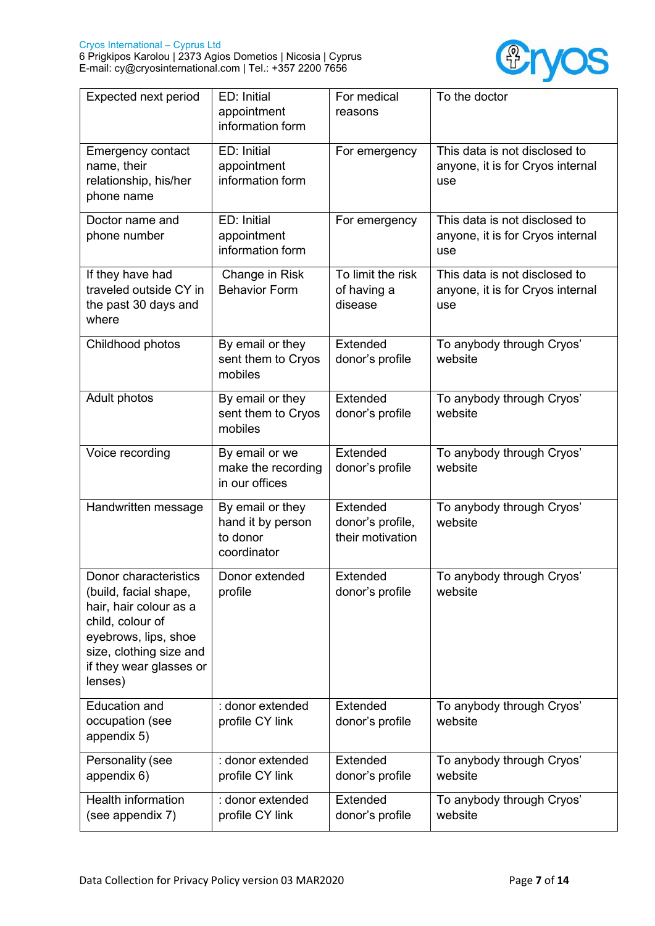

| Expected next period                                                                                                                                                                  | ED: Initial<br>appointment<br>information form                   | For medical<br>reasons                           | To the doctor                                                            |
|---------------------------------------------------------------------------------------------------------------------------------------------------------------------------------------|------------------------------------------------------------------|--------------------------------------------------|--------------------------------------------------------------------------|
| <b>Emergency contact</b><br>name, their<br>relationship, his/her<br>phone name                                                                                                        | ED: Initial<br>appointment<br>information form                   | For emergency                                    | This data is not disclosed to<br>anyone, it is for Cryos internal<br>use |
| Doctor name and<br>phone number                                                                                                                                                       | ED: Initial<br>appointment<br>information form                   | For emergency                                    | This data is not disclosed to<br>anyone, it is for Cryos internal<br>use |
| If they have had<br>traveled outside CY in<br>the past 30 days and<br>where                                                                                                           | Change in Risk<br><b>Behavior Form</b>                           | To limit the risk<br>of having a<br>disease      | This data is not disclosed to<br>anyone, it is for Cryos internal<br>use |
| Childhood photos                                                                                                                                                                      | By email or they<br>sent them to Cryos<br>mobiles                | Extended<br>donor's profile                      | To anybody through Cryos'<br>website                                     |
| Adult photos                                                                                                                                                                          | By email or they<br>sent them to Cryos<br>mobiles                | Extended<br>donor's profile                      | To anybody through Cryos'<br>website                                     |
| Voice recording                                                                                                                                                                       | By email or we<br>make the recording<br>in our offices           | Extended<br>donor's profile                      | To anybody through Cryos'<br>website                                     |
| Handwritten message                                                                                                                                                                   | By email or they<br>hand it by person<br>to donor<br>coordinator | Extended<br>donor's profile,<br>their motivation | To anybody through Cryos'<br>website                                     |
| Donor characteristics<br>(build, facial shape,<br>hair, hair colour as a<br>child, colour of<br>eyebrows, lips, shoe<br>size, clothing size and<br>if they wear glasses or<br>lenses) | Donor extended<br>profile                                        | Extended<br>donor's profile                      | To anybody through Cryos'<br>website                                     |
| <b>Education and</b><br>occupation (see<br>appendix 5)                                                                                                                                | : donor extended<br>profile CY link                              | Extended<br>donor's profile                      | To anybody through Cryos'<br>website                                     |
| Personality (see<br>appendix 6)                                                                                                                                                       | : donor extended<br>profile CY link                              | <b>Extended</b><br>donor's profile               | To anybody through Cryos'<br>website                                     |
| <b>Health information</b><br>(see appendix 7)                                                                                                                                         | : donor extended<br>profile CY link                              | <b>Extended</b><br>donor's profile               | To anybody through Cryos'<br>website                                     |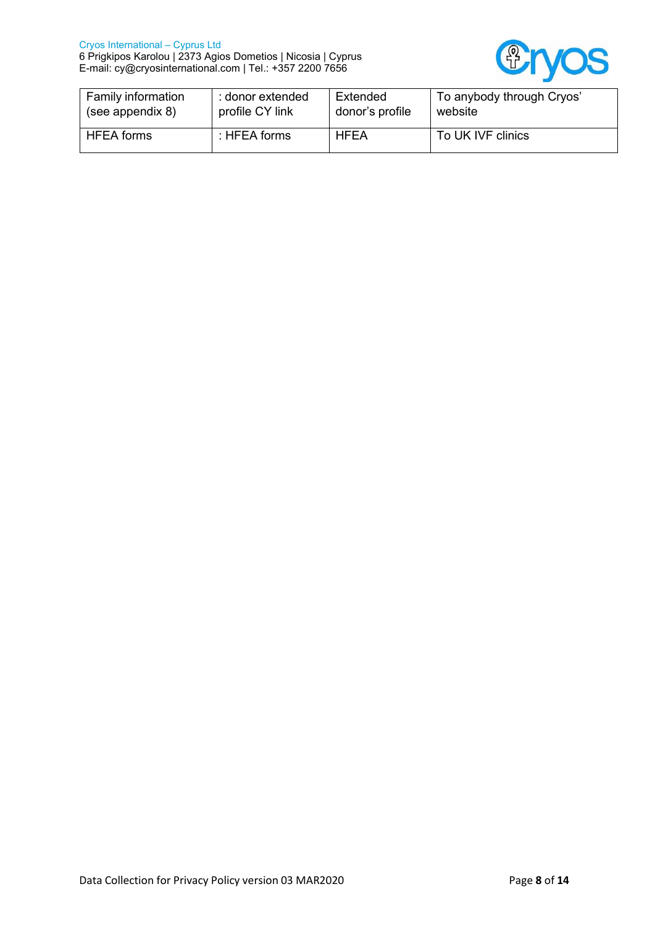

| Family information | : donor extended | Extended        | To anybody through Cryos' |
|--------------------|------------------|-----------------|---------------------------|
| (see appendix 8)   | profile CY link  | donor's profile | website                   |
| <b>HFEA</b> forms  | : HFEA forms     | <b>HFEA</b>     | To UK IVF clinics         |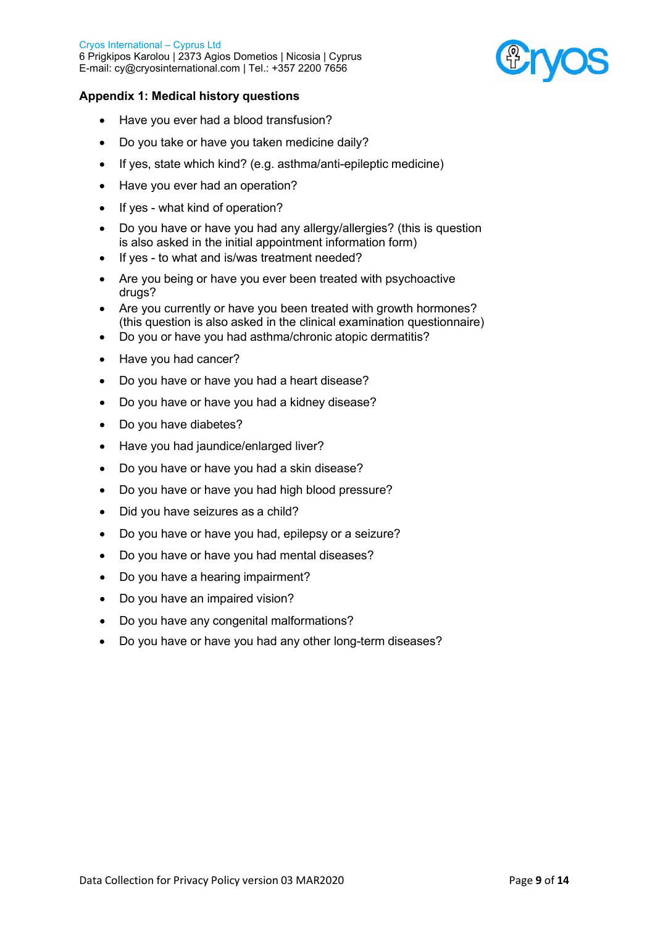

# **Appendix 1: Medical history questions**

- Have you ever had a blood transfusion?
- Do you take or have you taken medicine daily?
- If yes, state which kind? (e.g. asthma/anti-epileptic medicine)
- Have you ever had an operation?
- If yes what kind of operation?
- Do you have or have you had any allergy/allergies? (this is question is also asked in the initial appointment information form)
- If yes to what and is/was treatment needed?
- Are you being or have you ever been treated with psychoactive drugs?
- Are you currently or have you been treated with growth hormones? (this question is also asked in the clinical examination questionnaire)
- Do you or have you had asthma/chronic atopic dermatitis?
- Have you had cancer?
- Do you have or have you had a heart disease?
- Do you have or have you had a kidney disease?
- Do you have diabetes?
- Have you had jaundice/enlarged liver?
- Do you have or have you had a skin disease?
- Do you have or have you had high blood pressure?
- Did you have seizures as a child?
- Do you have or have you had, epilepsy or a seizure?
- Do you have or have you had mental diseases?
- Do you have a hearing impairment?
- Do you have an impaired vision?
- Do you have any congenital malformations?
- Do you have or have you had any other long-term diseases?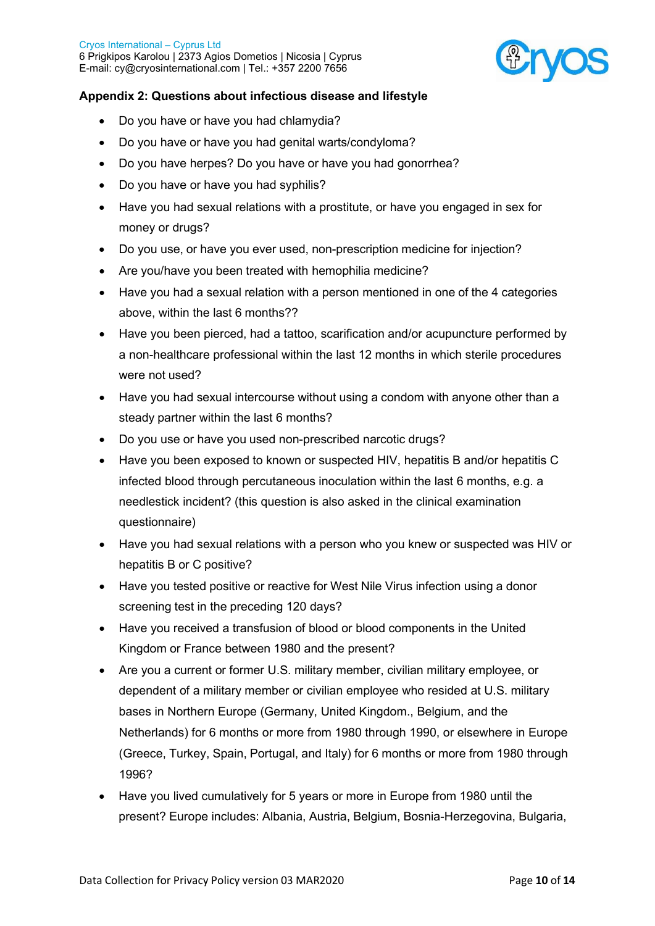

# **Appendix 2: Questions about infectious disease and lifestyle**

- Do you have or have you had chlamydia?
- Do you have or have you had genital warts/condyloma?
- Do you have herpes? Do you have or have you had gonorrhea?
- Do you have or have you had syphilis?
- Have you had sexual relations with a prostitute, or have you engaged in sex for money or drugs?
- Do you use, or have you ever used, non-prescription medicine for injection?
- Are you/have you been treated with hemophilia medicine?
- Have you had a sexual relation with a person mentioned in one of the 4 categories above, within the last 6 months??
- Have you been pierced, had a tattoo, scarification and/or acupuncture performed by a non-healthcare professional within the last 12 months in which sterile procedures were not used?
- Have you had sexual intercourse without using a condom with anyone other than a steady partner within the last 6 months?
- Do you use or have you used non-prescribed narcotic drugs?
- Have you been exposed to known or suspected HIV, hepatitis B and/or hepatitis C infected blood through percutaneous inoculation within the last 6 months, e.g. a needlestick incident? (this question is also asked in the clinical examination questionnaire)
- Have you had sexual relations with a person who you knew or suspected was HIV or hepatitis B or C positive?
- Have you tested positive or reactive for West Nile Virus infection using a donor screening test in the preceding 120 days?
- Have you received a transfusion of blood or blood components in the United Kingdom or France between 1980 and the present?
- Are you a current or former U.S. military member, civilian military employee, or dependent of a military member or civilian employee who resided at U.S. military bases in Northern Europe (Germany, United Kingdom., Belgium, and the Netherlands) for 6 months or more from 1980 through 1990, or elsewhere in Europe (Greece, Turkey, Spain, Portugal, and Italy) for 6 months or more from 1980 through 1996?
- Have you lived cumulatively for 5 years or more in Europe from 1980 until the present? Europe includes: Albania, Austria, Belgium, Bosnia-Herzegovina, Bulgaria,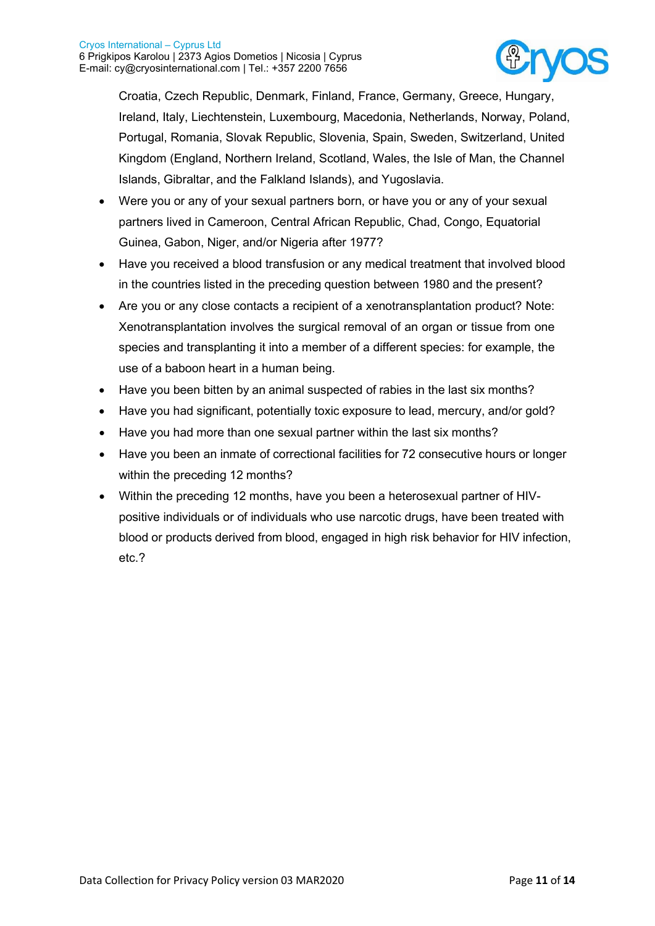

Croatia, Czech Republic, Denmark, Finland, France, Germany, Greece, Hungary, Ireland, Italy, Liechtenstein, Luxembourg, Macedonia, Netherlands, Norway, Poland, Portugal, Romania, Slovak Republic, Slovenia, Spain, Sweden, Switzerland, United Kingdom (England, Northern Ireland, Scotland, Wales, the Isle of Man, the Channel Islands, Gibraltar, and the Falkland Islands), and Yugoslavia.

- Were you or any of your sexual partners born, or have you or any of your sexual partners lived in Cameroon, Central African Republic, Chad, Congo, Equatorial Guinea, Gabon, Niger, and/or Nigeria after 1977?
- Have you received a blood transfusion or any medical treatment that involved blood in the countries listed in the preceding question between 1980 and the present?
- Are you or any close contacts a recipient of a xenotransplantation product? Note: Xenotransplantation involves the surgical removal of an organ or tissue from one species and transplanting it into a member of a different species: for example, the use of a baboon heart in a human being.
- Have you been bitten by an animal suspected of rabies in the last six months?
- Have you had significant, potentially toxic exposure to lead, mercury, and/or gold?
- Have you had more than one sexual partner within the last six months?
- Have you been an inmate of correctional facilities for 72 consecutive hours or longer within the preceding 12 months?
- Within the preceding 12 months, have you been a heterosexual partner of HIVpositive individuals or of individuals who use narcotic drugs, have been treated with blood or products derived from blood, engaged in high risk behavior for HIV infection, etc.?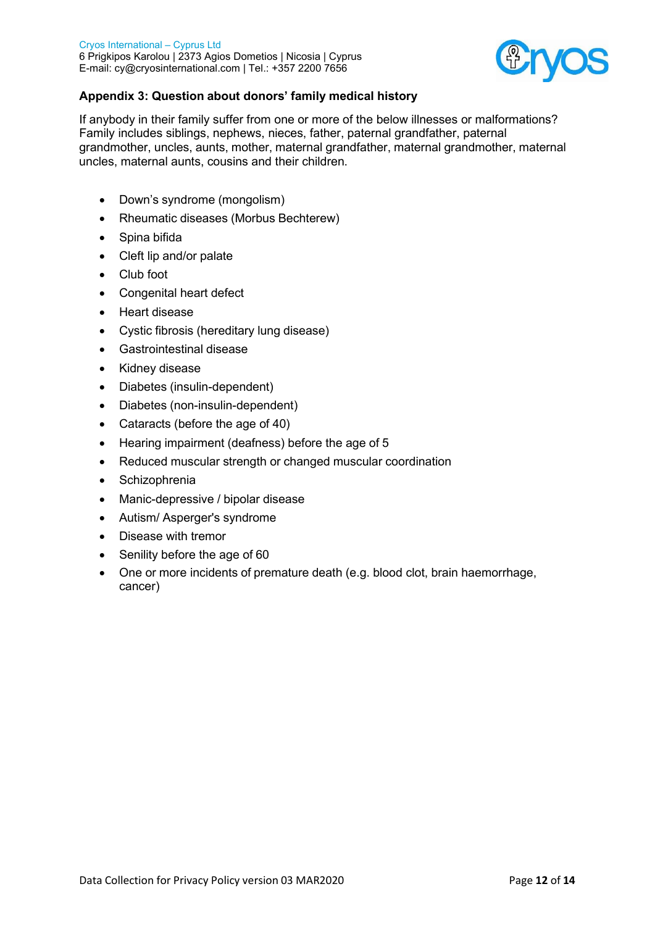

# **Appendix 3: Question about donors' family medical history**

If anybody in their family suffer from one or more of the below illnesses or malformations? Family includes siblings, nephews, nieces, father, paternal grandfather, paternal grandmother, uncles, aunts, mother, maternal grandfather, maternal grandmother, maternal uncles, maternal aunts, cousins and their children.

- Down's syndrome (mongolism)
- Rheumatic diseases (Morbus Bechterew)
- Spina bifida
- Cleft lip and/or palate
- Club foot
- Congenital heart defect
- Heart disease
- Cystic fibrosis (hereditary lung disease)
- Gastrointestinal disease
- Kidney disease
- Diabetes (insulin-dependent)
- Diabetes (non-insulin-dependent)
- Cataracts (before the age of 40)
- Hearing impairment (deafness) before the age of 5
- Reduced muscular strength or changed muscular coordination
- Schizophrenia
- Manic-depressive / bipolar disease
- Autism/ Asperger's syndrome
- Disease with tremor
- Senility before the age of 60
- One or more incidents of premature death (e.g. blood clot, brain haemorrhage, cancer)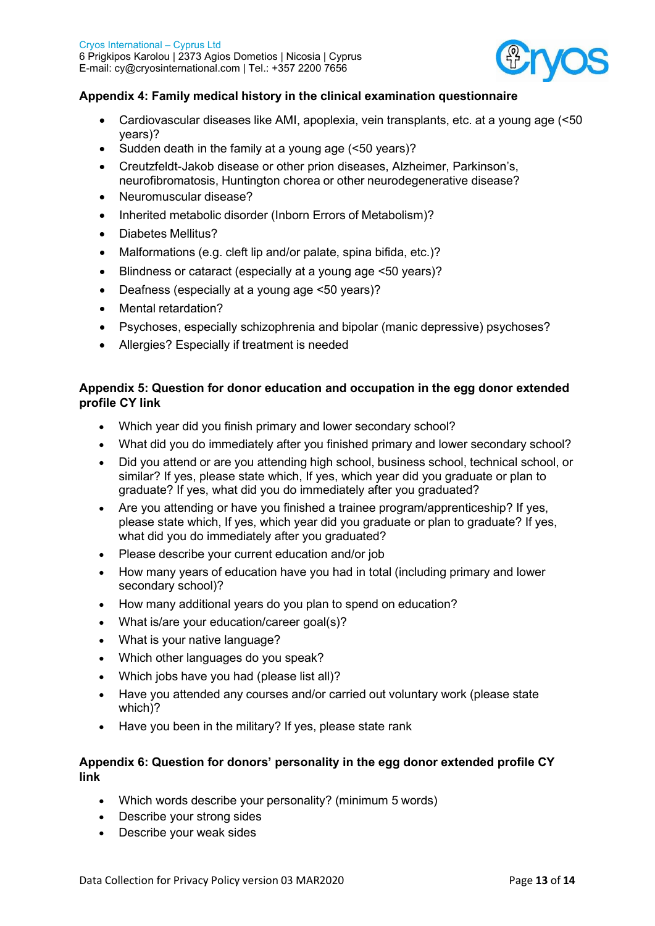

# **Appendix 4: Family medical history in the clinical examination questionnaire**

- Cardiovascular diseases like AMI, apoplexia, vein transplants, etc. at a young age (<50 years)?
- Sudden death in the family at a young age (<50 years)?
- Creutzfeldt-Jakob disease or other prion diseases, Alzheimer, Parkinson's, neurofibromatosis, Huntington chorea or other neurodegenerative disease?
- Neuromuscular disease?
- Inherited metabolic disorder (Inborn Errors of Metabolism)?
- Diabetes Mellitus?
- Malformations (e.g. cleft lip and/or palate, spina bifida, etc.)?
- Blindness or cataract (especially at a young age <50 years)?
- Deafness (especially at a young age <50 years)?
- Mental retardation?
- Psychoses, especially schizophrenia and bipolar (manic depressive) psychoses?
- Allergies? Especially if treatment is needed

# **Appendix 5: Question for donor education and occupation in the egg donor extended profile CY link**

- Which year did you finish primary and lower secondary school?
- What did you do immediately after you finished primary and lower secondary school?
- Did you attend or are you attending high school, business school, technical school, or similar? If yes, please state which, If yes, which year did you graduate or plan to graduate? If yes, what did you do immediately after you graduated?
- Are you attending or have you finished a trainee program/apprenticeship? If yes, please state which, If yes, which year did you graduate or plan to graduate? If yes, what did you do immediately after you graduated?
- Please describe your current education and/or job
- How many years of education have you had in total (including primary and lower secondary school)?
- How many additional years do you plan to spend on education?
- What is/are your education/career goal(s)?
- What is your native language?
- Which other languages do you speak?
- Which jobs have you had (please list all)?
- Have you attended any courses and/or carried out voluntary work (please state which)?
- Have you been in the military? If yes, please state rank

## **Appendix 6: Question for donors' personality in the egg donor extended profile CY link**

- Which words describe your personality? (minimum 5 words)
- Describe your strong sides
- Describe your weak sides